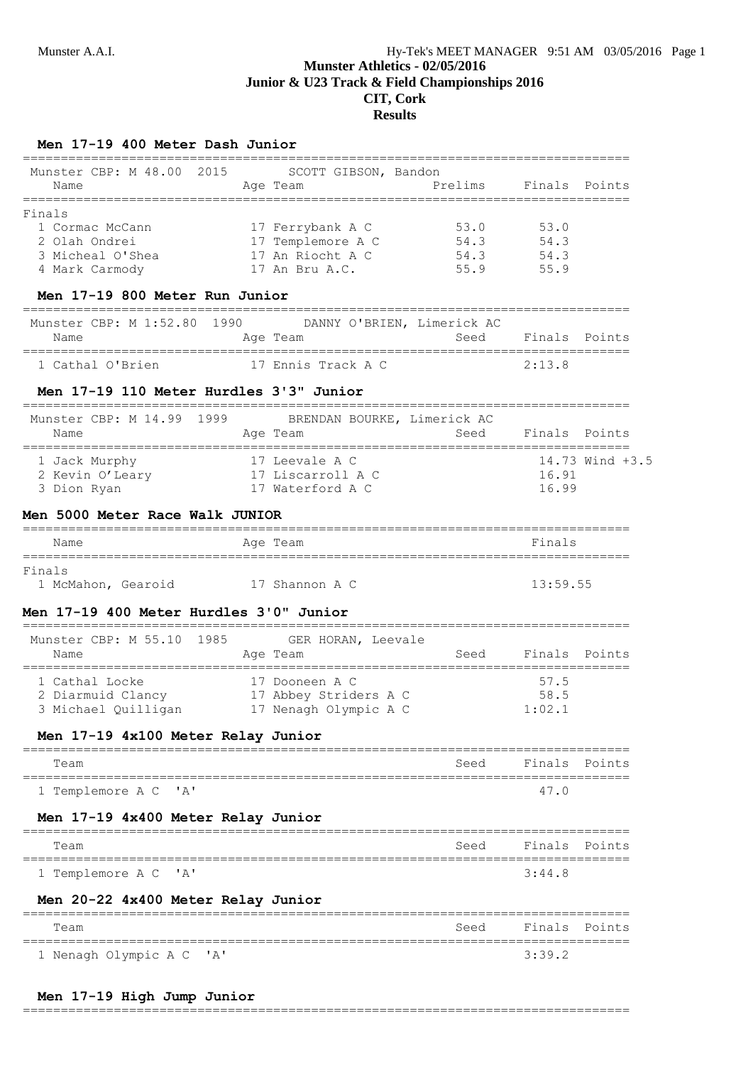# **Results**

### **Men 17-19 400 Meter Dash Junior**

| Munster CBP: M 48.00 2015<br>SCOTT GIBSON, Bandon<br>Prelims<br>Finals<br>Age Team<br>Points<br>Name<br>=================<br>Finals<br>1 Cormac McCann<br>17 Ferrybank A C<br>17 Templemore A C<br>53.0<br>53.0<br>54.3<br>54.3<br>2 Olah Ondrei<br>17 An Riocht A C<br>54.3 54.3<br>3 Micheal O'Shea<br>4 Mark Carmody<br>17 An Bru A.C.<br>55.9<br>55.9<br>Men 17-19 800 Meter Run Junior<br>1990 DANNY O'BRIEN, Limerick AC<br>Munster CBP: M 1:52.80<br>Seed<br>Finals Points<br>Age Team<br>Name<br>17 Ennis Track A C<br>1 Cathal O'Brien<br>2:13.8<br>Men 17-19 110 Meter Hurdles 3'3" Junior<br>Munster CBP: M 14.99 1999<br>BRENDAN BOURKE, Limerick AC<br>Seed Finals Points<br>Name<br>Age Team<br>17 Leevale A C<br>14.73 Wind +3.5<br>1 Jack Murphy<br>2 Kevin O'Leary 17 Liscarroll A C<br>16.91<br>3 Dion Ryan<br>17 Waterford A C<br>16.99<br>Men 5000 Meter Race Walk JUNIOR<br>Finals<br>Age Team<br>Name<br>================<br>-----------------<br>13:59.55<br>17 Shannon A C<br>1 McMahon, Gearoid<br>Men 17-19 400 Meter Hurdles 3'0" Junior<br>Munster CBP: M 55.10 1985<br>GER HORAN, Leevale<br>Seed<br>Finals Points<br>Age Team<br>Name<br>================================<br>17 Dooneen A C<br>1 Cathal Locke<br>57.5<br>2 Diarmuid Clancy 17 Abbey Striders A C<br>58.5<br>3 Michael Quilligan 17 Nenagh Olympic A C<br>1:02.1<br>Men 17-19 4x100 Meter Relay Junior<br>Finals<br>Seed<br>Points<br>Team<br>"A"<br>1 Templemore A C<br>47.0<br>Men 17-19 4x400 Meter Relay Junior<br>Finals<br>Team<br>Seed<br>Points<br>1 Templemore A C<br>' A '<br>3:44.8<br>Men 20-22 4x400 Meter Relay Junior<br>Finals<br>Seed<br>Points<br>Team<br>-----------------<br>================<br>1 Nenagh Olympic A C<br>' A'<br>3:39.2 |               |  | ====================== |  |
|----------------------------------------------------------------------------------------------------------------------------------------------------------------------------------------------------------------------------------------------------------------------------------------------------------------------------------------------------------------------------------------------------------------------------------------------------------------------------------------------------------------------------------------------------------------------------------------------------------------------------------------------------------------------------------------------------------------------------------------------------------------------------------------------------------------------------------------------------------------------------------------------------------------------------------------------------------------------------------------------------------------------------------------------------------------------------------------------------------------------------------------------------------------------------------------------------------------------------------------------------------------------------------------------------------------------------------------------------------------------------------------------------------------------------------------------------------------------------------------------------------------------------------------------------------------------------------------------------------------------------------------------------------------------------------------------------------------------------------------------------------|---------------|--|------------------------|--|
|                                                                                                                                                                                                                                                                                                                                                                                                                                                                                                                                                                                                                                                                                                                                                                                                                                                                                                                                                                                                                                                                                                                                                                                                                                                                                                                                                                                                                                                                                                                                                                                                                                                                                                                                                          |               |  |                        |  |
|                                                                                                                                                                                                                                                                                                                                                                                                                                                                                                                                                                                                                                                                                                                                                                                                                                                                                                                                                                                                                                                                                                                                                                                                                                                                                                                                                                                                                                                                                                                                                                                                                                                                                                                                                          | ============= |  |                        |  |
|                                                                                                                                                                                                                                                                                                                                                                                                                                                                                                                                                                                                                                                                                                                                                                                                                                                                                                                                                                                                                                                                                                                                                                                                                                                                                                                                                                                                                                                                                                                                                                                                                                                                                                                                                          |               |  |                        |  |
|                                                                                                                                                                                                                                                                                                                                                                                                                                                                                                                                                                                                                                                                                                                                                                                                                                                                                                                                                                                                                                                                                                                                                                                                                                                                                                                                                                                                                                                                                                                                                                                                                                                                                                                                                          |               |  |                        |  |
|                                                                                                                                                                                                                                                                                                                                                                                                                                                                                                                                                                                                                                                                                                                                                                                                                                                                                                                                                                                                                                                                                                                                                                                                                                                                                                                                                                                                                                                                                                                                                                                                                                                                                                                                                          |               |  |                        |  |
|                                                                                                                                                                                                                                                                                                                                                                                                                                                                                                                                                                                                                                                                                                                                                                                                                                                                                                                                                                                                                                                                                                                                                                                                                                                                                                                                                                                                                                                                                                                                                                                                                                                                                                                                                          |               |  |                        |  |
|                                                                                                                                                                                                                                                                                                                                                                                                                                                                                                                                                                                                                                                                                                                                                                                                                                                                                                                                                                                                                                                                                                                                                                                                                                                                                                                                                                                                                                                                                                                                                                                                                                                                                                                                                          |               |  |                        |  |
|                                                                                                                                                                                                                                                                                                                                                                                                                                                                                                                                                                                                                                                                                                                                                                                                                                                                                                                                                                                                                                                                                                                                                                                                                                                                                                                                                                                                                                                                                                                                                                                                                                                                                                                                                          |               |  |                        |  |
|                                                                                                                                                                                                                                                                                                                                                                                                                                                                                                                                                                                                                                                                                                                                                                                                                                                                                                                                                                                                                                                                                                                                                                                                                                                                                                                                                                                                                                                                                                                                                                                                                                                                                                                                                          |               |  |                        |  |
|                                                                                                                                                                                                                                                                                                                                                                                                                                                                                                                                                                                                                                                                                                                                                                                                                                                                                                                                                                                                                                                                                                                                                                                                                                                                                                                                                                                                                                                                                                                                                                                                                                                                                                                                                          |               |  |                        |  |
|                                                                                                                                                                                                                                                                                                                                                                                                                                                                                                                                                                                                                                                                                                                                                                                                                                                                                                                                                                                                                                                                                                                                                                                                                                                                                                                                                                                                                                                                                                                                                                                                                                                                                                                                                          |               |  |                        |  |
|                                                                                                                                                                                                                                                                                                                                                                                                                                                                                                                                                                                                                                                                                                                                                                                                                                                                                                                                                                                                                                                                                                                                                                                                                                                                                                                                                                                                                                                                                                                                                                                                                                                                                                                                                          |               |  |                        |  |
|                                                                                                                                                                                                                                                                                                                                                                                                                                                                                                                                                                                                                                                                                                                                                                                                                                                                                                                                                                                                                                                                                                                                                                                                                                                                                                                                                                                                                                                                                                                                                                                                                                                                                                                                                          |               |  |                        |  |
|                                                                                                                                                                                                                                                                                                                                                                                                                                                                                                                                                                                                                                                                                                                                                                                                                                                                                                                                                                                                                                                                                                                                                                                                                                                                                                                                                                                                                                                                                                                                                                                                                                                                                                                                                          |               |  |                        |  |
|                                                                                                                                                                                                                                                                                                                                                                                                                                                                                                                                                                                                                                                                                                                                                                                                                                                                                                                                                                                                                                                                                                                                                                                                                                                                                                                                                                                                                                                                                                                                                                                                                                                                                                                                                          |               |  |                        |  |
|                                                                                                                                                                                                                                                                                                                                                                                                                                                                                                                                                                                                                                                                                                                                                                                                                                                                                                                                                                                                                                                                                                                                                                                                                                                                                                                                                                                                                                                                                                                                                                                                                                                                                                                                                          |               |  |                        |  |
|                                                                                                                                                                                                                                                                                                                                                                                                                                                                                                                                                                                                                                                                                                                                                                                                                                                                                                                                                                                                                                                                                                                                                                                                                                                                                                                                                                                                                                                                                                                                                                                                                                                                                                                                                          |               |  |                        |  |
|                                                                                                                                                                                                                                                                                                                                                                                                                                                                                                                                                                                                                                                                                                                                                                                                                                                                                                                                                                                                                                                                                                                                                                                                                                                                                                                                                                                                                                                                                                                                                                                                                                                                                                                                                          |               |  |                        |  |
|                                                                                                                                                                                                                                                                                                                                                                                                                                                                                                                                                                                                                                                                                                                                                                                                                                                                                                                                                                                                                                                                                                                                                                                                                                                                                                                                                                                                                                                                                                                                                                                                                                                                                                                                                          | Finals        |  |                        |  |
|                                                                                                                                                                                                                                                                                                                                                                                                                                                                                                                                                                                                                                                                                                                                                                                                                                                                                                                                                                                                                                                                                                                                                                                                                                                                                                                                                                                                                                                                                                                                                                                                                                                                                                                                                          |               |  |                        |  |
|                                                                                                                                                                                                                                                                                                                                                                                                                                                                                                                                                                                                                                                                                                                                                                                                                                                                                                                                                                                                                                                                                                                                                                                                                                                                                                                                                                                                                                                                                                                                                                                                                                                                                                                                                          |               |  |                        |  |
|                                                                                                                                                                                                                                                                                                                                                                                                                                                                                                                                                                                                                                                                                                                                                                                                                                                                                                                                                                                                                                                                                                                                                                                                                                                                                                                                                                                                                                                                                                                                                                                                                                                                                                                                                          |               |  |                        |  |
|                                                                                                                                                                                                                                                                                                                                                                                                                                                                                                                                                                                                                                                                                                                                                                                                                                                                                                                                                                                                                                                                                                                                                                                                                                                                                                                                                                                                                                                                                                                                                                                                                                                                                                                                                          |               |  |                        |  |
|                                                                                                                                                                                                                                                                                                                                                                                                                                                                                                                                                                                                                                                                                                                                                                                                                                                                                                                                                                                                                                                                                                                                                                                                                                                                                                                                                                                                                                                                                                                                                                                                                                                                                                                                                          |               |  |                        |  |
|                                                                                                                                                                                                                                                                                                                                                                                                                                                                                                                                                                                                                                                                                                                                                                                                                                                                                                                                                                                                                                                                                                                                                                                                                                                                                                                                                                                                                                                                                                                                                                                                                                                                                                                                                          |               |  |                        |  |
|                                                                                                                                                                                                                                                                                                                                                                                                                                                                                                                                                                                                                                                                                                                                                                                                                                                                                                                                                                                                                                                                                                                                                                                                                                                                                                                                                                                                                                                                                                                                                                                                                                                                                                                                                          |               |  |                        |  |
|                                                                                                                                                                                                                                                                                                                                                                                                                                                                                                                                                                                                                                                                                                                                                                                                                                                                                                                                                                                                                                                                                                                                                                                                                                                                                                                                                                                                                                                                                                                                                                                                                                                                                                                                                          |               |  |                        |  |
|                                                                                                                                                                                                                                                                                                                                                                                                                                                                                                                                                                                                                                                                                                                                                                                                                                                                                                                                                                                                                                                                                                                                                                                                                                                                                                                                                                                                                                                                                                                                                                                                                                                                                                                                                          |               |  |                        |  |
|                                                                                                                                                                                                                                                                                                                                                                                                                                                                                                                                                                                                                                                                                                                                                                                                                                                                                                                                                                                                                                                                                                                                                                                                                                                                                                                                                                                                                                                                                                                                                                                                                                                                                                                                                          |               |  |                        |  |
|                                                                                                                                                                                                                                                                                                                                                                                                                                                                                                                                                                                                                                                                                                                                                                                                                                                                                                                                                                                                                                                                                                                                                                                                                                                                                                                                                                                                                                                                                                                                                                                                                                                                                                                                                          |               |  |                        |  |
|                                                                                                                                                                                                                                                                                                                                                                                                                                                                                                                                                                                                                                                                                                                                                                                                                                                                                                                                                                                                                                                                                                                                                                                                                                                                                                                                                                                                                                                                                                                                                                                                                                                                                                                                                          |               |  |                        |  |
|                                                                                                                                                                                                                                                                                                                                                                                                                                                                                                                                                                                                                                                                                                                                                                                                                                                                                                                                                                                                                                                                                                                                                                                                                                                                                                                                                                                                                                                                                                                                                                                                                                                                                                                                                          |               |  |                        |  |
|                                                                                                                                                                                                                                                                                                                                                                                                                                                                                                                                                                                                                                                                                                                                                                                                                                                                                                                                                                                                                                                                                                                                                                                                                                                                                                                                                                                                                                                                                                                                                                                                                                                                                                                                                          |               |  |                        |  |
|                                                                                                                                                                                                                                                                                                                                                                                                                                                                                                                                                                                                                                                                                                                                                                                                                                                                                                                                                                                                                                                                                                                                                                                                                                                                                                                                                                                                                                                                                                                                                                                                                                                                                                                                                          | =======       |  |                        |  |
|                                                                                                                                                                                                                                                                                                                                                                                                                                                                                                                                                                                                                                                                                                                                                                                                                                                                                                                                                                                                                                                                                                                                                                                                                                                                                                                                                                                                                                                                                                                                                                                                                                                                                                                                                          | ======        |  |                        |  |

### **Men 17-19 High Jump Junior**

================================================================================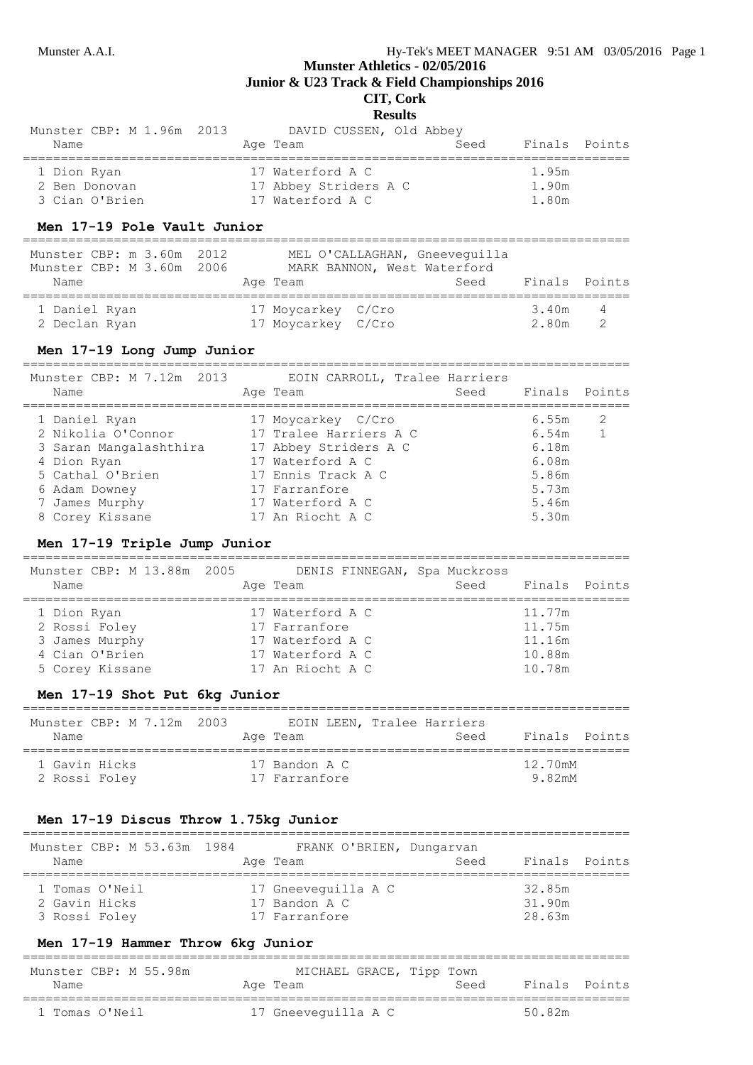## **Munster Athletics - 02/05/2016**

**Junior & U23 Track & Field Championships 2016**

## **CIT, Cork**

#### **Results**

| Munster CBP: M 1.96m 2013 | DAVID CUSSEN, Old Abbey |               |
|---------------------------|-------------------------|---------------|
| Name                      | Seed<br>Age Team        | Finals Points |
| 1 Dion Ryan               | 17 Waterford A C        | 1.95m         |
| 2 Ben Donovan             | 17 Abbey Striders A C   | 1.90m         |
| 3 Cian O'Brien            | 17 Waterford A C        | 1.80m         |

### **Men 17-19 Pole Vault Junior**

| Munster CBP: m 3.60m 2012<br>Munster CBP: M 3.60m 2006<br>Name | MEL O'CALLAGHAN, Gneevequilla<br>MARK BANNON, West Waterford<br>Age Team | Seed | Finals Points  |                |
|----------------------------------------------------------------|--------------------------------------------------------------------------|------|----------------|----------------|
| 1 Daniel Ryan<br>2 Declan Ryan                                 | 17 Moycarkey C/Cro<br>17 Moycarkey C/Cro                                 |      | 3.40m<br>2.80m | $\overline{4}$ |

### **Men 17-19 Long Jump Junior**

| Munster CBP: M 7.12m 2013<br>Name | EOIN CARROLL, Tralee Harriers<br>Age Team | Seed Finals Points |
|-----------------------------------|-------------------------------------------|--------------------|
| 1 Daniel Ryan                     | 17 Moycarkey C/Cro                        | 6.55m<br>2         |
| 2 Nikolia O'Connor                | 17 Tralee Harriers A C                    | 6.54m              |
| 3 Saran Mangalashthira            | 17 Abbey Striders A C                     | 6.18m              |
| 4 Dion Ryan                       | 17 Waterford A C                          | 6.08m              |
| 5 Cathal O'Brien                  | 17 Ennis Track A C                        | 5.86m              |
| 6 Adam Downey                     | 17 Farranfore                             | 5.73m              |
| 7 James Murphy                    | 17 Waterford A C                          | 5.46m              |
| 8 Corey Kissane                   | 17 An Riocht A C                          | 5.30m              |

### **Men 17-19 Triple Jump Junior**

| Munster CBP: M 13.88m 2005<br>Name | DENIS FINNEGAN, Spa Muckross<br>Age Team | Seed Finals Points |
|------------------------------------|------------------------------------------|--------------------|
| 1 Dion Ryan                        | 17 Waterford A C                         | 11.77m             |
| 2 Rossi Foley                      | 17 Farranfore                            | 11.75m             |
| 3 James Murphy                     | 17 Waterford A C                         | 11.16m             |
| 4 Cian O'Brien                     | 17 Waterford A C                         | 10.88m             |
| 5 Corey Kissane                    | 17 An Riocht A C                         | 10.78m             |

### **Men 17-19 Shot Put 6kg Junior**

| Munster CBP: M 7.12m 2003<br>Name | EOIN LEEN, Tralee Harriers<br>Age Team | Seed | Finals Points |
|-----------------------------------|----------------------------------------|------|---------------|
| 1 Gavin Hicks                     | 17 Bandon A C                          |      | 12.70mM       |
| 2 Rossi Foley                     | 17 Farranfore                          |      | 9.82mM        |

### **Men 17-19 Discus Throw 1.75kg Junior**

| Munster CBP: M 53.63m 1984 | FRANK O'BRIEN, Dungarvan | Finals Points |  |
|----------------------------|--------------------------|---------------|--|
| Name                       | Age Team                 | Seed          |  |
| 1 Tomas O'Neil             | 17 Gneeveguilla A C      | 32.85m        |  |
| 2 Gavin Hicks              | 17 Bandon A C            | 31.90m        |  |
| 3 Rossi Foley              | 17 Farranfore            | 28.63m        |  |

### **Men 17-19 Hammer Throw 6kg Junior**

| Munster CBP: M 55.98m | MICHAEL GRACE, Tipp Town | Finals Points |
|-----------------------|--------------------------|---------------|
| Name                  | Age Team                 | Seed          |
| 1 Tomas O'Neil        | 17 Gneevequilla A C      | 50 82m        |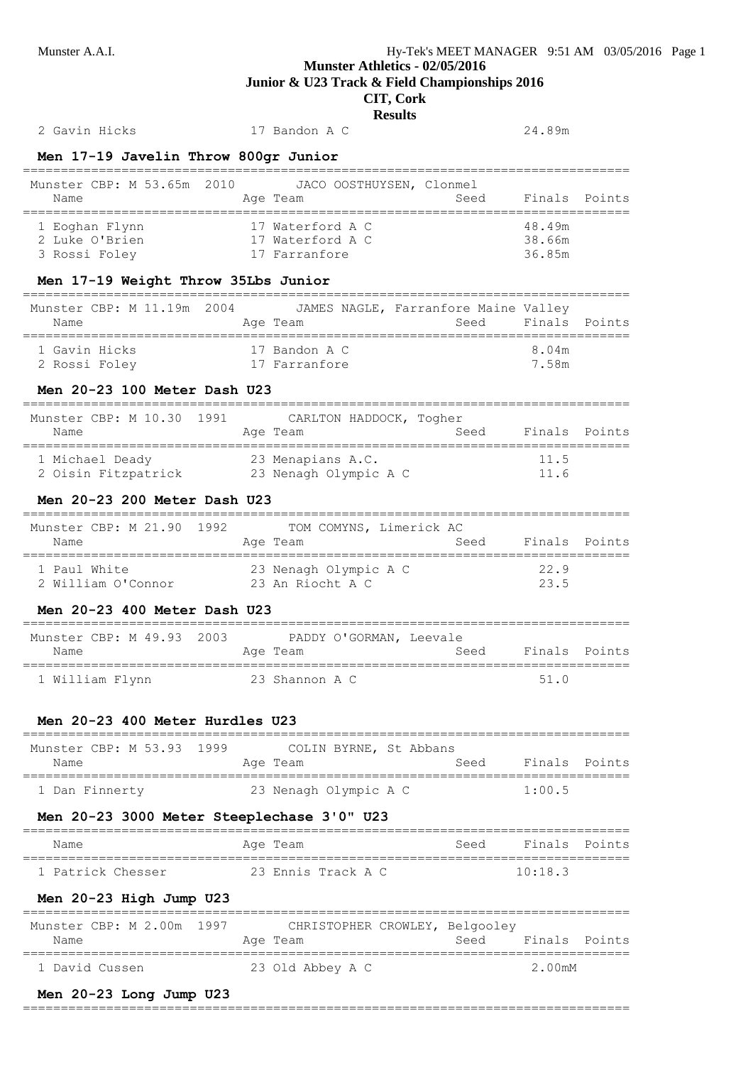## **Munster Athletics - 02/05/2016**

**Junior & U23 Track & Field Championships 2016**

## **CIT, Cork**

**Results**

2 Gavin Hicks 17 Bandon A C 24.89m

**Men 17-19 Javelin Throw 800gr Junior**

| Munster CBP: M 53.65m 2010<br>Name                                             |           | JACO OOSTHUYSEN, Clonmel<br>Age Team                  | Seed               | Finals                     | Points |
|--------------------------------------------------------------------------------|-----------|-------------------------------------------------------|--------------------|----------------------------|--------|
| 1 Eoghan Flynn<br>2 Luke O'Brien<br>3 Rossi Foley                              |           | 17 Waterford A C<br>17 Waterford A C<br>17 Farranfore |                    | 48.49m<br>38.66m<br>36.85m |        |
| Men 17-19 Weight Throw 35Lbs Junior                                            |           |                                                       |                    |                            |        |
| Munster CBP: M 11.19m 2004 JAMES NAGLE, Farranfore Maine Valley<br>Name        |           | =================<br>Age Team                         | Seed               | Finals Points              |        |
| 1 Gavin Hicks<br>17 Farranfore<br>2 Rossi Foley                                |           | 17 Bandon A C                                         |                    | 8.04m<br>7.58m             |        |
| Men 20-23 100 Meter Dash U23                                                   |           |                                                       |                    |                            |        |
| Munster CBP: M 10.30<br>1991<br>Name                                           |           | CARLTON HADDOCK, Togher<br>Age Team                   | Seed Finals Points |                            |        |
| 1 Michael Deady 23 Menapians A.C.<br>2 Oisin Fitzpatrick 23 Nenagh Olympic A C |           |                                                       |                    | - 11.5<br>11.6             |        |
| Men 20-23 200 Meter Dash U23                                                   |           |                                                       |                    |                            |        |
| Munster CBP: M 21.90 1992 TOM COMYNS, Limerick AC<br>Name                      |           | Age Team                                              | Seed               | Finals Points              |        |
|                                                                                |           |                                                       |                    |                            |        |
| 1 Paul White<br>2 William O'Connor 23 An Riocht A C                            |           | 23 Nenagh Olympic A C                                 |                    | 22.9<br>23.5               |        |
| Men 20-23 400 Meter Dash U23                                                   |           |                                                       |                    |                            |        |
| Munster CBP: M 49.93 2003 PADDY O'GORMAN, Leevale<br>Name                      |           | Seed Finals Points<br>Age Team                        |                    |                            |        |
| 1 William Flynn 23 Shannon A C                                                 |           |                                                       |                    | 51.0                       |        |
| Men 20-23 400 Meter Hurdles U23                                                |           |                                                       |                    |                            |        |
| Munster CBP: M 53.93 1999 COLIN BYRNE, St Abbans<br>Name                       |           |                                                       | Seed               | Finals Points              |        |
|                                                                                |           | Age Team                                              |                    |                            |        |
| 1 Dan Finnerty                                                                 |           | 23 Nenagh Olympic A C                                 |                    | 1:00.5                     |        |
| Men 20-23 3000 Meter Steeplechase 3'0" U23<br>Name                             |           | Aqe Team                                              | Seed               | Finals Points              |        |
| 1 Patrick Chesser                                                              |           | 23 Ennis Track A C                                    |                    | ===============<br>10:18.3 |        |
| Men 20-23 High Jump U23                                                        |           |                                                       |                    |                            |        |
| Munster CBP: M 2.00m 1997<br>Name                                              | ========= | CHRISTOPHER CROWLEY, Belgooley<br>Age Team            | Seed               | Finals Points              |        |
| 1 David Cussen                                                                 |           | 23 Old Abbey A C                                      |                    | 2.00mM                     |        |